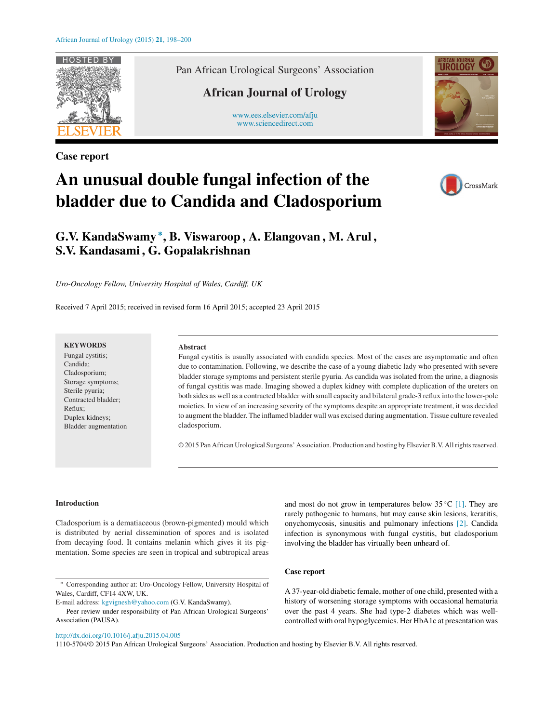

**Case report**

Pan African Urological Surgeons' Association

# **African Journal of Urology**

[www.ees.elsevier.com/afju](http://www.ees.elsevier.com/afju) [www.sciencedirect.com](http://www.sciencedirect.com/science/journal/11105704)



# **An unusual double fungal infection of the bladder due to Candida and Cladosporium**



# **G.V. KandaSwamy <sup>∗</sup> , B. Viswaroop , A. Elangovan , M. Arul , S.V. Kandasami , G. Gopalakrishnan**

*Uro-Oncology Fellow, University Hospital of Wales, Cardiff, UK*

Received 7 April 2015; received in revised form 16 April 2015; accepted 23 April 2015

### **KEYWORDS**

Fungal cystitis; Candida; Cladosporium; Storage symptoms; Sterile pyuria; Contracted bladder; Reflux; Duplex kidneys; Bladder augmentation

#### **Abstract**

Fungal cystitis is usually associated with candida species. Most of the cases are asymptomatic and often due to contamination. Following, we describe the case of a young diabetic lady who presented with severe bladder storage symptoms and persistent sterile pyuria. As candida was isolated from the urine, a diagnosis of fungal cystitis was made. Imaging showed a duplex kidney with complete duplication of the ureters on both sides as well as a contracted bladder with small capacity and bilateral grade-3 reflux into the lower-pole moieties. In view of an increasing severity of the symptoms despite an appropriate treatment, it was decided to augment the bladder. The inflamed bladder wall was excised during augmentation. Tissue culture revealed cladosporium.

© 2015 Pan African Urological Surgeons' Association. Production and hosting by ElsevierB.V. Allrightsreserved.

#### **Introduction**

Cladosporium is a dematiaceous (brown-pigmented) mould which is distributed by aerial dissemination of spores and is isolated from decaying food. It contains melanin which gives it its pigmentation. Some species are seen in tropical and subtropical areas

∗ Corresponding author at: Uro-Oncology Fellow, University Hospital of Wales, Cardiff, CF14 4XW, UK.

E-mail address: [kgvignesh@yahoo.com](mailto:kgvignesh@yahoo.com) (G.V. KandaSwamy).

Peer review under responsibility of Pan African Urological Surgeons' Association (PAUSA).

[http://dx.doi.org/10.1016/j.afju.2015.04.005](dx.doi.org/10.1016/j.afju.2015.04.005)

and most do not grow in temperatures below  $35^{\circ}C$  [\[1\].](#page-2-0) They are rarely pathogenic to humans, but may cause skin lesions, keratitis, onychomycosis, sinusitis and pulmonary infections [\[2\].](#page-2-0) Candida infection is synonymous with fungal cystitis, but cladosporium involving the bladder has virtually been unheard of.

#### **Case report**

A 37-year-old diabetic female, mother of one child, presented with a history of worsening storage symptoms with occasional hematuria over the past 4 years. She had type-2 diabetes which was wellcontrolled with oral hypoglycemics. Her HbA1c at presentation was

1110-5704/© 2015 Pan African Urological Surgeons' Association. Production and hosting by Elsevier B.V. All rights reserved.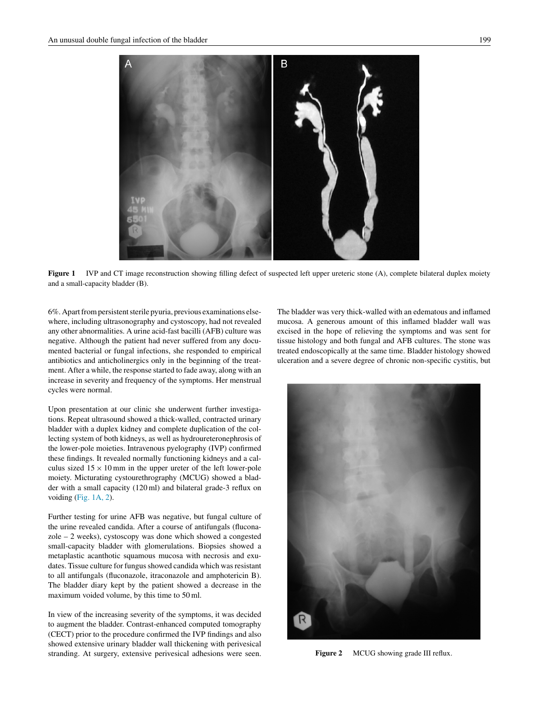

Figure 1 IVP and CT image reconstruction showing filling defect of suspected left upper ureteric stone (A), complete bilateral duplex moiety and a small-capacity bladder (B).

6%. Apart from persistent sterile pyuria, previous examinations elsewhere, including ultrasonography and cystoscopy, had not revealed any other abnormalities. A urine acid-fast bacilli (AFB) culture was negative. Although the patient had never suffered from any documented bacterial or fungal infections, she responded to empirical antibiotics and anticholinergics only in the beginning of the treatment. After a while, the response started to fade away, along with an increase in severity and frequency of the symptoms. Her menstrual cycles were normal.

Upon presentation at our clinic she underwent further investigations. Repeat ultrasound showed a thick-walled, contracted urinary bladder with a duplex kidney and complete duplication of the collecting system of both kidneys, as well as hydroureteronephrosis of the lower-pole moieties. Intravenous pyelography (IVP) confirmed these findings. It revealed normally functioning kidneys and a calculus sized  $15 \times 10$  mm in the upper ureter of the left lower-pole moiety. Micturating cystourethrography (MCUG) showed a bladder with a small capacity (120 ml) and bilateral grade-3 reflux on voiding (Fig. 1A, 2).

Further testing for urine AFB was negative, but fungal culture of the urine revealed candida. After a course of antifungals (fluconazole – 2 weeks), cystoscopy was done which showed a congested small-capacity bladder with glomerulations. Biopsies showed a metaplastic acanthotic squamous mucosa with necrosis and exudates. Tissue culture for fungus showed candida which was resistant to all antifungals (fluconazole, itraconazole and amphotericin B). The bladder diary kept by the patient showed a decrease in the maximum voided volume, by this time to 50 ml.

In view of the increasing severity of the symptoms, it was decided to augment the bladder. Contrast-enhanced computed tomography (CECT) prior to the procedure confirmed the IVP findings and also showed extensive urinary bladder wall thickening with perivesical stranding. At surgery, extensive perivesical adhesions were seen. The bladder was very thick-walled with an edematous and inflamed mucosa. A generous amount of this inflamed bladder wall was excised in the hope of relieving the symptoms and was sent for tissue histology and both fungal and AFB cultures. The stone was treated endoscopically at the same time. Bladder histology showed ulceration and a severe degree of chronic non-specific cystitis, but



**Figure 2** MCUG showing grade III reflux.